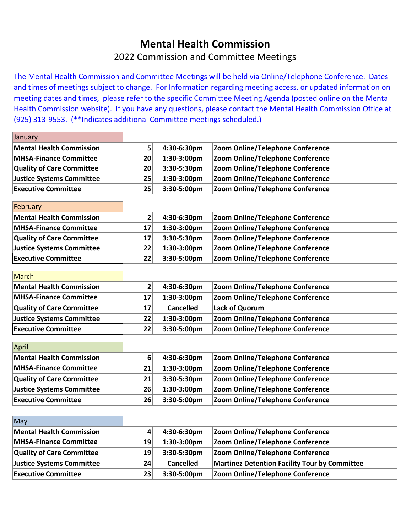## **Mental Health Commission**

## 2022 Commission and Committee Meetings

The Mental Health Commission and Committee Meetings will be held via Online/Telephone Conference. Dates and times of meetings subject to change. For Information regarding meeting access, or updated information on meeting dates and times, please refer to the specific Committee Meeting Agenda (posted online on the Mental Health Commission website). If you have any questions, please contact the Mental Health Commission Office at (925) 313-9553. (\*\*Indicates additional Committee meetings scheduled.)

| January                          |                |                  |                                                      |
|----------------------------------|----------------|------------------|------------------------------------------------------|
| <b>Mental Health Commission</b>  | 5              | 4:30-6:30pm      | Zoom Online/Telephone Conference                     |
| <b>MHSA-Finance Committee</b>    | 20             | 1:30-3:00pm      | Zoom Online/Telephone Conference                     |
| <b>Quality of Care Committee</b> | 20             | 3:30-5:30pm      | Zoom Online/Telephone Conference                     |
| <b>Justice Systems Committee</b> | 25             | 1:30-3:00pm      | Zoom Online/Telephone Conference                     |
| <b>Executive Committee</b>       | 25             | 3:30-5:00pm      | Zoom Online/Telephone Conference                     |
|                                  |                |                  |                                                      |
| February                         |                |                  |                                                      |
| <b>Mental Health Commission</b>  | $\mathbf{2}$   | 4:30-6:30pm      | Zoom Online/Telephone Conference                     |
| <b>MHSA-Finance Committee</b>    | 17             | 1:30-3:00pm      | Zoom Online/Telephone Conference                     |
| <b>Quality of Care Committee</b> | 17             | 3:30-5:30pm      | Zoom Online/Telephone Conference                     |
| <b>Justice Systems Committee</b> | 22             | 1:30-3:00pm      | Zoom Online/Telephone Conference                     |
| <b>Executive Committee</b>       | 22             | 3:30-5:00pm      | Zoom Online/Telephone Conference                     |
|                                  |                |                  |                                                      |
| March                            |                |                  |                                                      |
| <b>Mental Health Commission</b>  | $\mathbf{2}$   | 4:30-6:30pm      | Zoom Online/Telephone Conference                     |
| <b>MHSA-Finance Committee</b>    | 17             | 1:30-3:00pm      | Zoom Online/Telephone Conference                     |
| <b>Quality of Care Committee</b> | 17             | <b>Cancelled</b> | <b>Lack of Quorum</b>                                |
| <b>Justice Systems Committee</b> | 22             | 1:30-3:00pm      | Zoom Online/Telephone Conference                     |
| <b>Executive Committee</b>       | 22             | 3:30-5:00pm      | Zoom Online/Telephone Conference                     |
|                                  |                |                  |                                                      |
| April                            |                |                  |                                                      |
| <b>Mental Health Commission</b>  | $6\phantom{1}$ | 4:30-6:30pm      | Zoom Online/Telephone Conference                     |
| <b>MHSA-Finance Committee</b>    | 21             | 1:30-3:00pm      | Zoom Online/Telephone Conference                     |
| <b>Quality of Care Committee</b> | 21             | 3:30-5:30pm      | Zoom Online/Telephone Conference                     |
| <b>Justice Systems Committee</b> | 26             | 1:30-3:00pm      | Zoom Online/Telephone Conference                     |
| <b>Executive Committee</b>       | 26             | 3:30-5:00pm      | Zoom Online/Telephone Conference                     |
|                                  |                |                  |                                                      |
| May                              |                |                  |                                                      |
| <b>Mental Health Commission</b>  | 4              | 4:30-6:30pm      | Zoom Online/Telephone Conference                     |
| <b>MHSA-Finance Committee</b>    | 19             | 1:30-3:00pm      | Zoom Online/Telephone Conference                     |
| <b>Quality of Care Committee</b> | 19             | 3:30-5:30pm      | Zoom Online/Telephone Conference                     |
| Justice Systems Committee        | 24             | <b>Cancelled</b> | <b>Martinez Detention Facility Tour by Committee</b> |
| <b>Executive Committee</b>       | 23             | 3:30-5:00pm      | Zoom Online/Telephone Conference                     |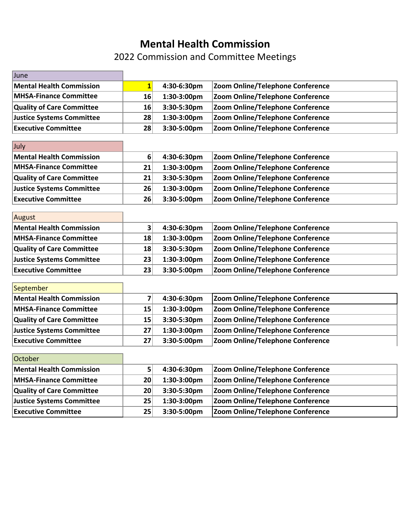## **Mental Health Commission**

2022 Commission and Committee Meetings

| June                             |                         |             |                                         |
|----------------------------------|-------------------------|-------------|-----------------------------------------|
| <b>Mental Health Commission</b>  | $\mathbf{1}$            | 4:30-6:30pm | Zoom Online/Telephone Conference        |
| <b>MHSA-Finance Committee</b>    | 16                      | 1:30-3:00pm | Zoom Online/Telephone Conference        |
| <b>Quality of Care Committee</b> | 16                      | 3:30-5:30pm | Zoom Online/Telephone Conference        |
| <b>Justice Systems Committee</b> | 28                      | 1:30-3:00pm | Zoom Online/Telephone Conference        |
| <b>Executive Committee</b>       | 28                      | 3:30-5:00pm | Zoom Online/Telephone Conference        |
|                                  |                         |             |                                         |
| July                             |                         |             |                                         |
| <b>Mental Health Commission</b>  | 6                       | 4:30-6:30pm | Zoom Online/Telephone Conference        |
| <b>MHSA-Finance Committee</b>    | 21                      | 1:30-3:00pm | Zoom Online/Telephone Conference        |
| <b>Quality of Care Committee</b> | 21                      | 3:30-5:30pm | Zoom Online/Telephone Conference        |
| <b>Justice Systems Committee</b> | 26                      | 1:30-3:00pm | Zoom Online/Telephone Conference        |
| <b>Executive Committee</b>       | 26                      | 3:30-5:00pm | Zoom Online/Telephone Conference        |
|                                  |                         |             |                                         |
| August                           |                         |             |                                         |
| <b>Mental Health Commission</b>  | $\overline{\mathbf{3}}$ | 4:30-6:30pm | Zoom Online/Telephone Conference        |
| <b>MHSA-Finance Committee</b>    | 18                      | 1:30-3:00pm | Zoom Online/Telephone Conference        |
| <b>Quality of Care Committee</b> | 18                      | 3:30-5:30pm | Zoom Online/Telephone Conference        |
| <b>Justice Systems Committee</b> | 23                      | 1:30-3:00pm | Zoom Online/Telephone Conference        |
| <b>Executive Committee</b>       | 23                      | 3:30-5:00pm | Zoom Online/Telephone Conference        |
|                                  |                         |             |                                         |
| September                        |                         |             |                                         |
| <b>Mental Health Commission</b>  | $\overline{\mathbf{z}}$ | 4:30-6:30pm | Zoom Online/Telephone Conference        |
| <b>MHSA-Finance Committee</b>    | 15                      | 1:30-3:00pm | Zoom Online/Telephone Conference        |
| <b>Quality of Care Committee</b> | 15                      | 3:30-5:30pm | Zoom Online/Telephone Conference        |
| <b>Justice Systems Committee</b> | 27                      | 1:30-3:00pm | Zoom Online/Telephone Conference        |
| <b>Executive Committee</b>       | 27                      | 3:30-5:00pm | Zoom Online/Telephone Conference        |
| October                          |                         |             |                                         |
|                                  |                         |             |                                         |
| <b>Mental Health Commission</b>  | 5 <sup>2</sup>          | 4:30-6:30pm | <b>Zoom Online/Telephone Conference</b> |
| <b>MHSA-Finance Committee</b>    | 20                      | 1:30-3:00pm | Zoom Online/Telephone Conference        |
| <b>Quality of Care Committee</b> | 20                      | 3:30-5:30pm | Zoom Online/Telephone Conference        |
| <b>Justice Systems Committee</b> | 25                      | 1:30-3:00pm | Zoom Online/Telephone Conference        |
| <b>Executive Committee</b>       | 25                      | 3:30-5:00pm | Zoom Online/Telephone Conference        |
|                                  |                         |             |                                         |